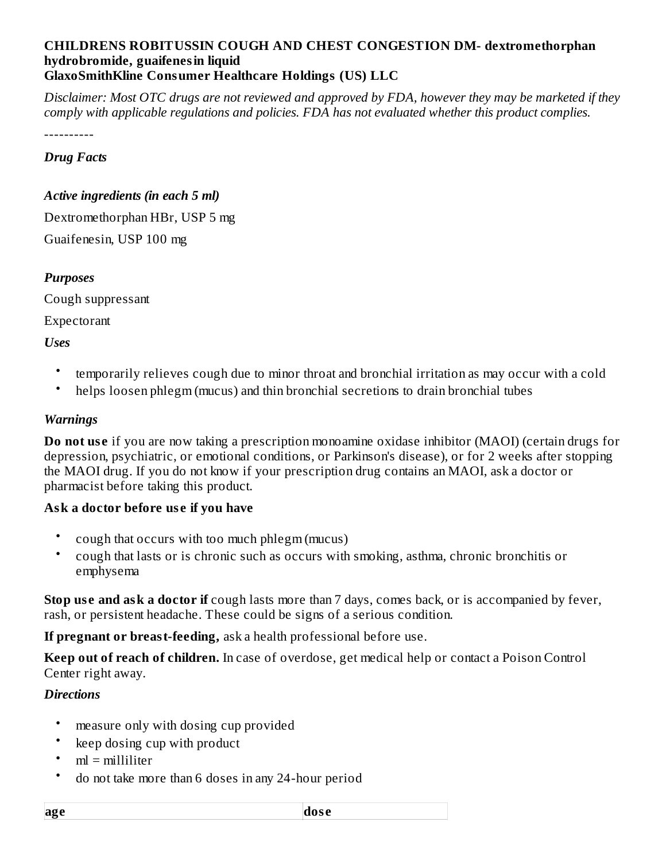#### **CHILDRENS ROBITUSSIN COUGH AND CHEST CONGESTION DM- dextromethorphan hydrobromide, guaifenesin liquid GlaxoSmithKline Consumer Healthcare Holdings (US) LLC**

Disclaimer: Most OTC drugs are not reviewed and approved by FDA, however they may be marketed if they *comply with applicable regulations and policies. FDA has not evaluated whether this product complies.*

----------

#### *Drug Facts*

#### *Active ingredients (in each 5 ml)*

Dextromethorphan HBr, USP 5 mg Guaifenesin, USP 100 mg

### *Purposes*

Cough suppressant

Expectorant

#### *Uses*

- temporarily relieves cough due to minor throat and bronchial irritation as may occur with a cold
- helps loosen phlegm (mucus) and thin bronchial secretions to drain bronchial tubes

#### *Warnings*

**Do not us e** if you are now taking a prescription monoamine oxidase inhibitor (MAOI) (certain drugs for depression, psychiatric, or emotional conditions, or Parkinson's disease), or for 2 weeks after stopping the MAOI drug. If you do not know if your prescription drug contains an MAOI, ask a doctor or pharmacist before taking this product.

### **Ask a doctor before us e if you have**

- cough that occurs with too much phlegm (mucus)
- cough that lasts or is chronic such as occurs with smoking, asthma, chronic bronchitis or emphysema

**Stop us e and ask a doctor if** cough lasts more than 7 days, comes back, or is accompanied by fever, rash, or persistent headache. These could be signs of a serious condition.

**If pregnant or breast-feeding,** ask a health professional before use.

**Keep out of reach of children.** In case of overdose, get medical help or contact a Poison Control Center right away.

### *Directions*

- measure only with dosing cup provided
- keep dosing cup with product
- ml = milliliter
- do not take more than 6 doses in any 24-hour period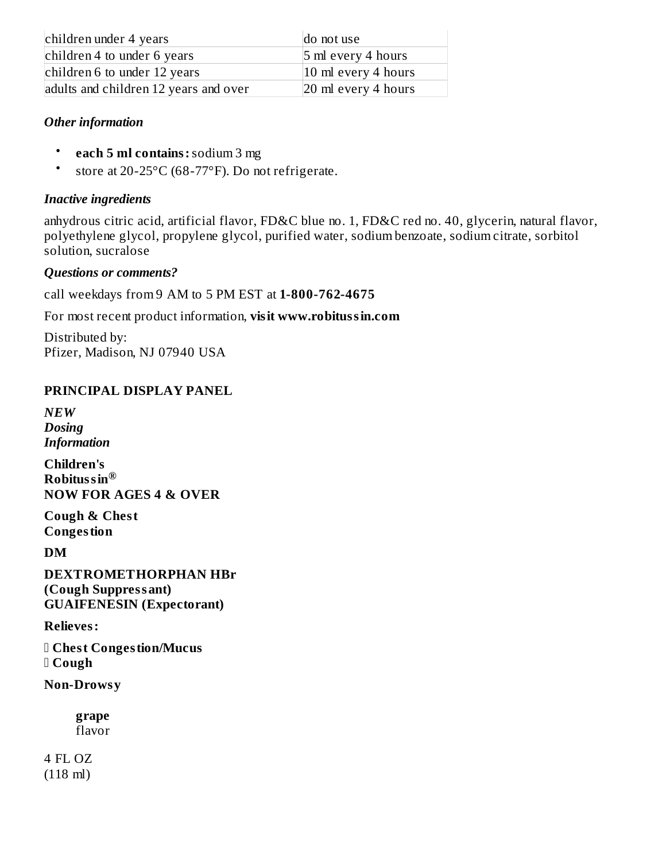| children under 4 years                | do not use                     |
|---------------------------------------|--------------------------------|
| children 4 to under 6 years           | 5 ml every 4 hours             |
| children 6 to under 12 years          | $ 10 \text{ ml}$ every 4 hours |
| adults and children 12 years and over | 20 ml every 4 hours            |

## *Other information*

- **each 5 ml contains:**sodium 3 mg
- store at 20-25°C (68-77°F). Do not refrigerate.

## *Inactive ingredients*

anhydrous citric acid, artificial flavor, FD&C blue no. 1, FD&C red no. 40, glycerin, natural flavor, polyethylene glycol, propylene glycol, purified water, sodium benzoate, sodium citrate, sorbitol solution, sucralose

## *Questions or comments?*

call weekdays from 9 AM to 5 PM EST at **1-800-762-4675**

For most recent product information, **visit www.robitussin.com**

Distributed by: Pfizer, Madison, NJ 07940 USA

## **PRINCIPAL DISPLAY PANEL**

*NEW Dosing Information*

**Children's Robitussin ® NOW FOR AGES 4 & OVER**

**Cough & Chest Congestion**

**DM**

**DEXTROMETHORPHAN HBr (Cough Suppressant) GUAIFENESIN (Expectorant)**

**Relieves:**

 **Chest Congestion/Mucus Cough**

**Non-Drowsy**

**grape** flavor

4 FL OZ (118 ml)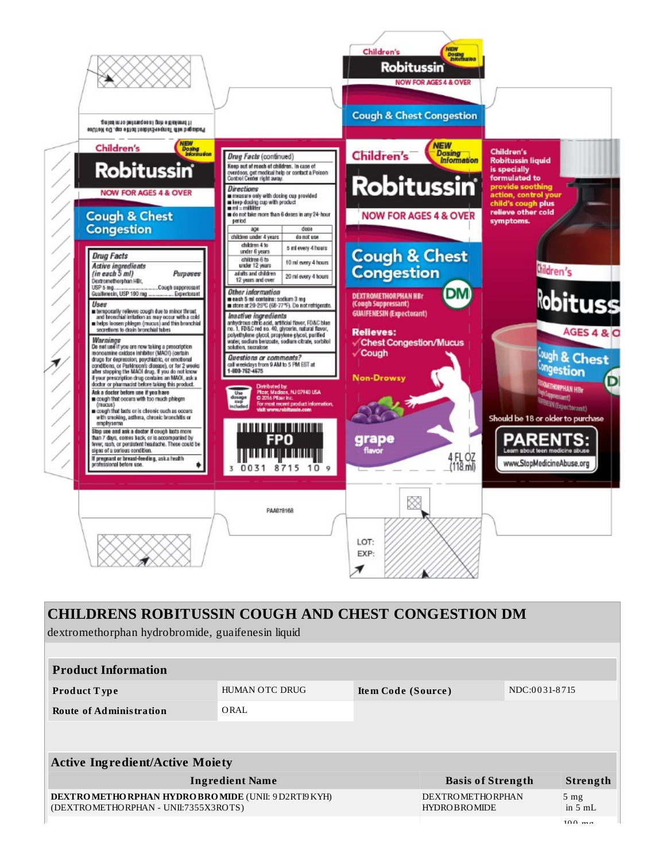

# **CHILDRENS ROBITUSSIN COUGH AND CHEST CONGESTION DM** dextromethorphan hydrobromide, guaifenesin liquid **Product Information Product T ype** HUMAN OTC DRUG **Ite m Code (Source )** NDC:0 0 31-8 715 **Route of Administration** ORAL **Active Ingredient/Active Moiety Ingredient Name Basis of Strength Strength DEXTROMETHORPHAN HYDROBROMIDE** (UNII: 9D2RTI9KYH) (DEXTROMETHORPHAN - UNII:7355X3ROTS) DEXTROMETHORPHAN **HYDROBROMIDE** 5 mg in 5 mL  $100 \text{ ms}$